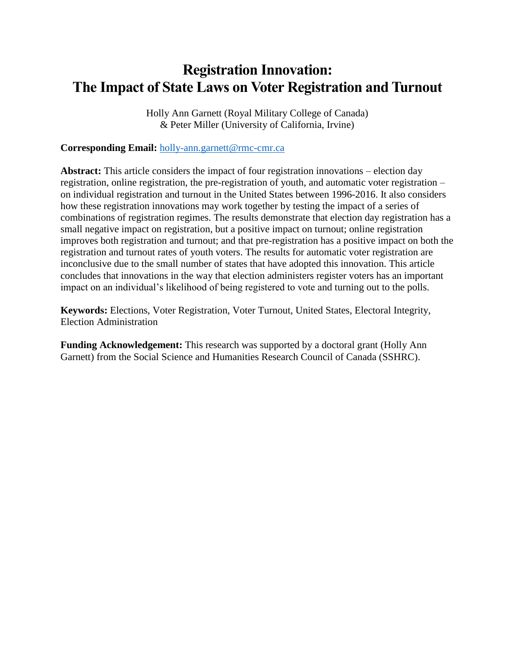# **Registration Innovation: The Impact of State Laws on Voter Registration and Turnout**

Holly Ann Garnett (Royal Military College of Canada) & Peter Miller (University of California, Irvine)

## **Corresponding Email:** [holly-ann.garnett@rmc-cmr.ca](mailto:holly-ann.garnett@rmc-cmr.ca)

**Abstract:** This article considers the impact of four registration innovations – election day registration, online registration, the pre-registration of youth, and automatic voter registration – on individual registration and turnout in the United States between 1996-2016. It also considers how these registration innovations may work together by testing the impact of a series of combinations of registration regimes. The results demonstrate that election day registration has a small negative impact on registration, but a positive impact on turnout; online registration improves both registration and turnout; and that pre-registration has a positive impact on both the registration and turnout rates of youth voters. The results for automatic voter registration are inconclusive due to the small number of states that have adopted this innovation. This article concludes that innovations in the way that election administers register voters has an important impact on an individual's likelihood of being registered to vote and turning out to the polls.

**Keywords:** Elections, Voter Registration, Voter Turnout, United States, Electoral Integrity, Election Administration

**Funding Acknowledgement:** This research was supported by a doctoral grant (Holly Ann Garnett) from the Social Science and Humanities Research Council of Canada (SSHRC).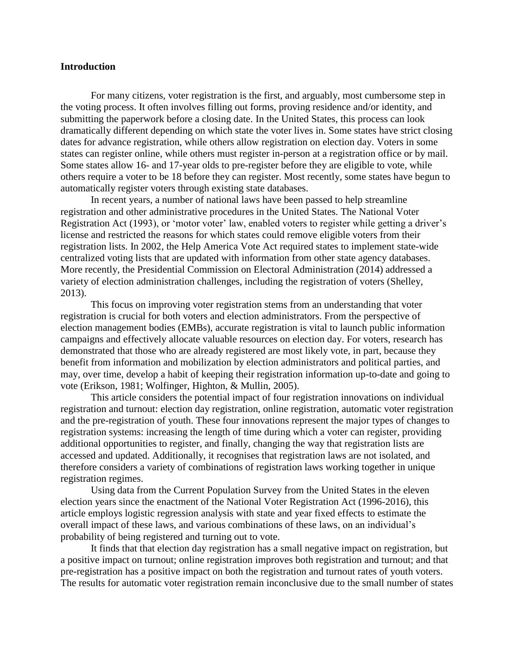## **Introduction**

For many citizens, voter registration is the first, and arguably, most cumbersome step in the voting process. It often involves filling out forms, proving residence and/or identity, and submitting the paperwork before a closing date. In the United States, this process can look dramatically different depending on which state the voter lives in. Some states have strict closing dates for advance registration, while others allow registration on election day. Voters in some states can register online, while others must register in-person at a registration office or by mail. Some states allow 16- and 17-year olds to pre-register before they are eligible to vote, while others require a voter to be 18 before they can register. Most recently, some states have begun to automatically register voters through existing state databases.

In recent years, a number of national laws have been passed to help streamline registration and other administrative procedures in the United States. The National Voter Registration Act (1993), or 'motor voter' law, enabled voters to register while getting a driver's license and restricted the reasons for which states could remove eligible voters from their registration lists. In 2002, the Help America Vote Act required states to implement state-wide centralized voting lists that are updated with information from other state agency databases. More recently, the Presidential Commission on Electoral Administration (2014) addressed a variety of election administration challenges, including the registration of voters (Shelley, 2013).

This focus on improving voter registration stems from an understanding that voter registration is crucial for both voters and election administrators. From the perspective of election management bodies (EMBs), accurate registration is vital to launch public information campaigns and effectively allocate valuable resources on election day. For voters, research has demonstrated that those who are already registered are most likely vote, in part, because they benefit from information and mobilization by election administrators and political parties, and may, over time, develop a habit of keeping their registration information up-to-date and going to vote (Erikson, 1981; Wolfinger, Highton, & Mullin, 2005).

This article considers the potential impact of four registration innovations on individual registration and turnout: election day registration, online registration, automatic voter registration and the pre-registration of youth. These four innovations represent the major types of changes to registration systems: increasing the length of time during which a voter can register, providing additional opportunities to register, and finally, changing the way that registration lists are accessed and updated. Additionally, it recognises that registration laws are not isolated, and therefore considers a variety of combinations of registration laws working together in unique registration regimes.

Using data from the Current Population Survey from the United States in the eleven election years since the enactment of the National Voter Registration Act (1996-2016), this article employs logistic regression analysis with state and year fixed effects to estimate the overall impact of these laws, and various combinations of these laws, on an individual's probability of being registered and turning out to vote.

It finds that that election day registration has a small negative impact on registration, but a positive impact on turnout; online registration improves both registration and turnout; and that pre-registration has a positive impact on both the registration and turnout rates of youth voters. The results for automatic voter registration remain inconclusive due to the small number of states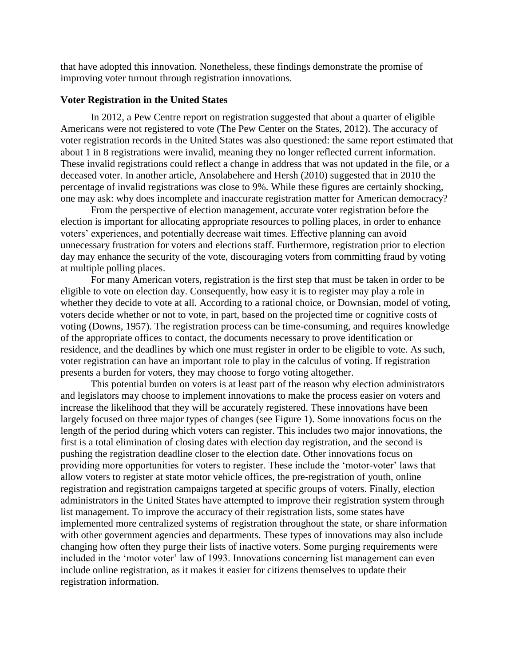that have adopted this innovation. Nonetheless, these findings demonstrate the promise of improving voter turnout through registration innovations.

#### **Voter Registration in the United States**

In 2012, a Pew Centre report on registration suggested that about a quarter of eligible Americans were not registered to vote (The Pew Center on the States, 2012). The accuracy of voter registration records in the United States was also questioned: the same report estimated that about 1 in 8 registrations were invalid, meaning they no longer reflected current information. These invalid registrations could reflect a change in address that was not updated in the file, or a deceased voter. In another article, Ansolabehere and Hersh (2010) suggested that in 2010 the percentage of invalid registrations was close to 9%. While these figures are certainly shocking, one may ask: why does incomplete and inaccurate registration matter for American democracy?

From the perspective of election management, accurate voter registration before the election is important for allocating appropriate resources to polling places, in order to enhance voters' experiences, and potentially decrease wait times. Effective planning can avoid unnecessary frustration for voters and elections staff. Furthermore, registration prior to election day may enhance the security of the vote, discouraging voters from committing fraud by voting at multiple polling places.

For many American voters, registration is the first step that must be taken in order to be eligible to vote on election day. Consequently, how easy it is to register may play a role in whether they decide to vote at all. According to a rational choice, or Downsian, model of voting, voters decide whether or not to vote, in part, based on the projected time or cognitive costs of voting (Downs, 1957). The registration process can be time-consuming, and requires knowledge of the appropriate offices to contact, the documents necessary to prove identification or residence, and the deadlines by which one must register in order to be eligible to vote. As such, voter registration can have an important role to play in the calculus of voting. If registration presents a burden for voters, they may choose to forgo voting altogether.

This potential burden on voters is at least part of the reason why election administrators and legislators may choose to implement innovations to make the process easier on voters and increase the likelihood that they will be accurately registered. These innovations have been largely focused on three major types of changes (see Figure 1). Some innovations focus on the length of the period during which voters can register. This includes two major innovations, the first is a total elimination of closing dates with election day registration, and the second is pushing the registration deadline closer to the election date. Other innovations focus on providing more opportunities for voters to register. These include the 'motor-voter' laws that allow voters to register at state motor vehicle offices, the pre-registration of youth, online registration and registration campaigns targeted at specific groups of voters. Finally, election administrators in the United States have attempted to improve their registration system through list management. To improve the accuracy of their registration lists, some states have implemented more centralized systems of registration throughout the state, or share information with other government agencies and departments. These types of innovations may also include changing how often they purge their lists of inactive voters. Some purging requirements were included in the 'motor voter' law of 1993. Innovations concerning list management can even include online registration, as it makes it easier for citizens themselves to update their registration information.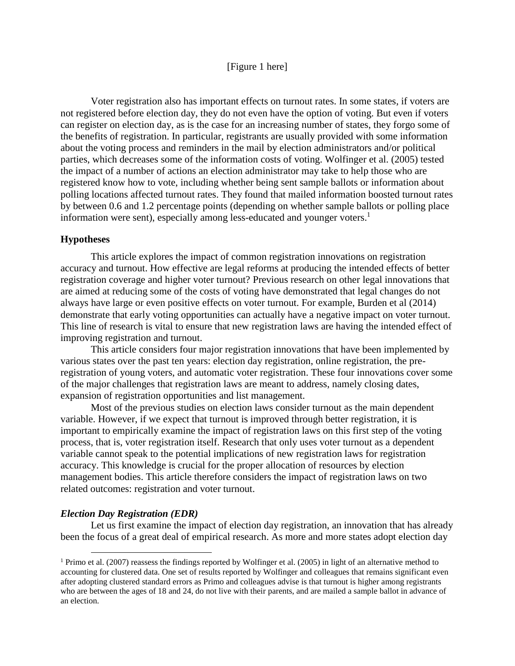## [Figure 1 here]

Voter registration also has important effects on turnout rates. In some states, if voters are not registered before election day, they do not even have the option of voting. But even if voters can register on election day, as is the case for an increasing number of states, they forgo some of the benefits of registration. In particular, registrants are usually provided with some information about the voting process and reminders in the mail by election administrators and/or political parties, which decreases some of the information costs of voting. Wolfinger et al. (2005) tested the impact of a number of actions an election administrator may take to help those who are registered know how to vote, including whether being sent sample ballots or information about polling locations affected turnout rates. They found that mailed information boosted turnout rates by between 0.6 and 1.2 percentage points (depending on whether sample ballots or polling place information were sent), especially among less-educated and younger voters.<sup>1</sup>

## **Hypotheses**

This article explores the impact of common registration innovations on registration accuracy and turnout. How effective are legal reforms at producing the intended effects of better registration coverage and higher voter turnout? Previous research on other legal innovations that are aimed at reducing some of the costs of voting have demonstrated that legal changes do not always have large or even positive effects on voter turnout. For example, Burden et al (2014) demonstrate that early voting opportunities can actually have a negative impact on voter turnout. This line of research is vital to ensure that new registration laws are having the intended effect of improving registration and turnout.

This article considers four major registration innovations that have been implemented by various states over the past ten years: election day registration, online registration, the preregistration of young voters, and automatic voter registration. These four innovations cover some of the major challenges that registration laws are meant to address, namely closing dates, expansion of registration opportunities and list management.

Most of the previous studies on election laws consider turnout as the main dependent variable. However, if we expect that turnout is improved through better registration, it is important to empirically examine the impact of registration laws on this first step of the voting process, that is, voter registration itself. Research that only uses voter turnout as a dependent variable cannot speak to the potential implications of new registration laws for registration accuracy. This knowledge is crucial for the proper allocation of resources by election management bodies. This article therefore considers the impact of registration laws on two related outcomes: registration and voter turnout.

#### *Election Day Registration (EDR)*

 $\overline{a}$ 

Let us first examine the impact of election day registration, an innovation that has already been the focus of a great deal of empirical research. As more and more states adopt election day

<sup>&</sup>lt;sup>1</sup> Primo et al. (2007) reassess the findings reported by Wolfinger et al. (2005) in light of an alternative method to accounting for clustered data. One set of results reported by Wolfinger and colleagues that remains significant even after adopting clustered standard errors as Primo and colleagues advise is that turnout is higher among registrants who are between the ages of 18 and 24, do not live with their parents, and are mailed a sample ballot in advance of an election.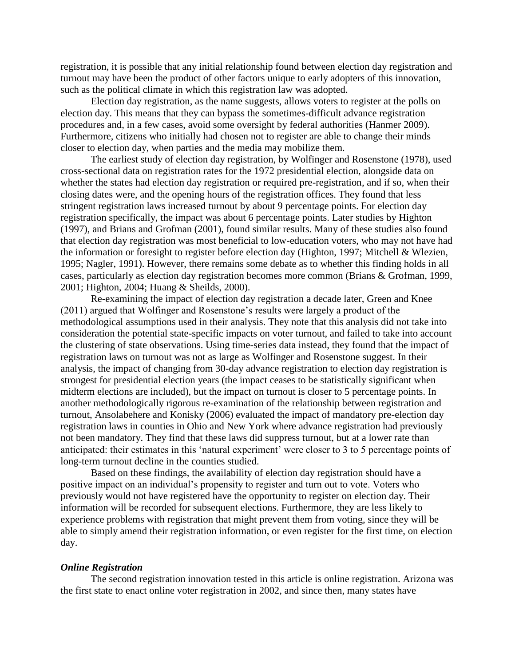registration, it is possible that any initial relationship found between election day registration and turnout may have been the product of other factors unique to early adopters of this innovation, such as the political climate in which this registration law was adopted.

Election day registration, as the name suggests, allows voters to register at the polls on election day. This means that they can bypass the sometimes-difficult advance registration procedures and, in a few cases, avoid some oversight by federal authorities (Hanmer 2009). Furthermore, citizens who initially had chosen not to register are able to change their minds closer to election day, when parties and the media may mobilize them.

The earliest study of election day registration, by Wolfinger and Rosenstone (1978), used cross-sectional data on registration rates for the 1972 presidential election, alongside data on whether the states had election day registration or required pre-registration, and if so, when their closing dates were, and the opening hours of the registration offices. They found that less stringent registration laws increased turnout by about 9 percentage points. For election day registration specifically, the impact was about 6 percentage points. Later studies by Highton (1997), and Brians and Grofman (2001), found similar results. Many of these studies also found that election day registration was most beneficial to low-education voters, who may not have had the information or foresight to register before election day (Highton, 1997; Mitchell & Wlezien, 1995; Nagler, 1991). However, there remains some debate as to whether this finding holds in all cases, particularly as election day registration becomes more common (Brians & Grofman, 1999, 2001; Highton, 2004; Huang & Sheilds, 2000).

Re-examining the impact of election day registration a decade later, Green and Knee (2011) argued that Wolfinger and Rosenstone's results were largely a product of the methodological assumptions used in their analysis. They note that this analysis did not take into consideration the potential state-specific impacts on voter turnout, and failed to take into account the clustering of state observations. Using time-series data instead, they found that the impact of registration laws on turnout was not as large as Wolfinger and Rosenstone suggest. In their analysis, the impact of changing from 30-day advance registration to election day registration is strongest for presidential election years (the impact ceases to be statistically significant when midterm elections are included), but the impact on turnout is closer to 5 percentage points. In another methodologically rigorous re-examination of the relationship between registration and turnout, Ansolabehere and Konisky (2006) evaluated the impact of mandatory pre-election day registration laws in counties in Ohio and New York where advance registration had previously not been mandatory. They find that these laws did suppress turnout, but at a lower rate than anticipated: their estimates in this 'natural experiment' were closer to 3 to 5 percentage points of long-term turnout decline in the counties studied.

Based on these findings, the availability of election day registration should have a positive impact on an individual's propensity to register and turn out to vote. Voters who previously would not have registered have the opportunity to register on election day. Their information will be recorded for subsequent elections. Furthermore, they are less likely to experience problems with registration that might prevent them from voting, since they will be able to simply amend their registration information, or even register for the first time, on election day.

#### *Online Registration*

The second registration innovation tested in this article is online registration. Arizona was the first state to enact online voter registration in 2002, and since then, many states have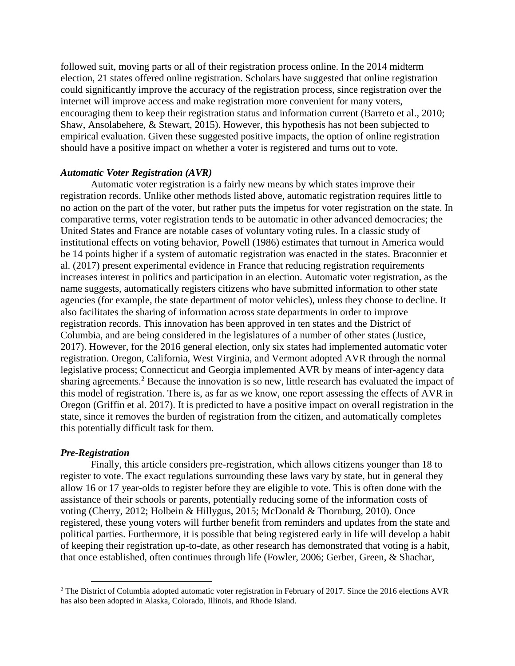followed suit, moving parts or all of their registration process online. In the 2014 midterm election, 21 states offered online registration. Scholars have suggested that online registration could significantly improve the accuracy of the registration process, since registration over the internet will improve access and make registration more convenient for many voters, encouraging them to keep their registration status and information current (Barreto et al., 2010; Shaw, Ansolabehere, & Stewart, 2015). However, this hypothesis has not been subjected to empirical evaluation. Given these suggested positive impacts, the option of online registration should have a positive impact on whether a voter is registered and turns out to vote.

## *Automatic Voter Registration (AVR)*

Automatic voter registration is a fairly new means by which states improve their registration records. Unlike other methods listed above, automatic registration requires little to no action on the part of the voter, but rather puts the impetus for voter registration on the state. In comparative terms, voter registration tends to be automatic in other advanced democracies; the United States and France are notable cases of voluntary voting rules. In a classic study of institutional effects on voting behavior, Powell (1986) estimates that turnout in America would be 14 points higher if a system of automatic registration was enacted in the states. Braconnier et al. (2017) present experimental evidence in France that reducing registration requirements increases interest in politics and participation in an election. Automatic voter registration, as the name suggests, automatically registers citizens who have submitted information to other state agencies (for example, the state department of motor vehicles), unless they choose to decline. It also facilitates the sharing of information across state departments in order to improve registration records. This innovation has been approved in ten states and the District of Columbia, and are being considered in the legislatures of a number of other states (Justice, 2017). However, for the 2016 general election, only six states had implemented automatic voter registration. Oregon, California, West Virginia, and Vermont adopted AVR through the normal legislative process; Connecticut and Georgia implemented AVR by means of inter-agency data sharing agreements.<sup>2</sup> Because the innovation is so new, little research has evaluated the impact of this model of registration. There is, as far as we know, one report assessing the effects of AVR in Oregon (Griffin et al. 2017). It is predicted to have a positive impact on overall registration in the state, since it removes the burden of registration from the citizen, and automatically completes this potentially difficult task for them.

## *Pre-Registration*

 $\overline{a}$ 

Finally, this article considers pre-registration, which allows citizens younger than 18 to register to vote. The exact regulations surrounding these laws vary by state, but in general they allow 16 or 17 year-olds to register before they are eligible to vote. This is often done with the assistance of their schools or parents, potentially reducing some of the information costs of voting (Cherry, 2012; Holbein & Hillygus, 2015; McDonald & Thornburg, 2010). Once registered, these young voters will further benefit from reminders and updates from the state and political parties. Furthermore, it is possible that being registered early in life will develop a habit of keeping their registration up-to-date, as other research has demonstrated that voting is a habit, that once established, often continues through life (Fowler, 2006; Gerber, Green, & Shachar,

<sup>&</sup>lt;sup>2</sup> The District of Columbia adopted automatic voter registration in February of 2017. Since the 2016 elections AVR has also been adopted in Alaska, Colorado, Illinois, and Rhode Island.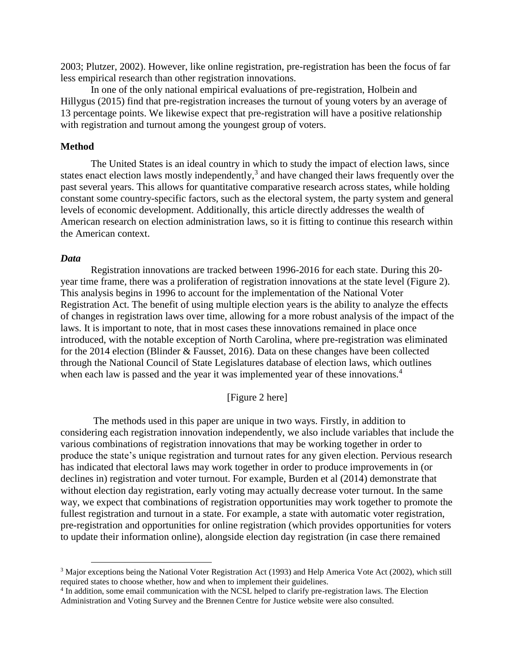2003; Plutzer, 2002). However, like online registration, pre-registration has been the focus of far less empirical research than other registration innovations.

In one of the only national empirical evaluations of pre-registration, Holbein and Hillygus (2015) find that pre-registration increases the turnout of young voters by an average of 13 percentage points. We likewise expect that pre-registration will have a positive relationship with registration and turnout among the youngest group of voters.

#### **Method**

The United States is an ideal country in which to study the impact of election laws, since states enact election laws mostly independently, $3$  and have changed their laws frequently over the past several years. This allows for quantitative comparative research across states, while holding constant some country-specific factors, such as the electoral system, the party system and general levels of economic development. Additionally, this article directly addresses the wealth of American research on election administration laws, so it is fitting to continue this research within the American context.

#### *Data*

 $\overline{a}$ 

Registration innovations are tracked between 1996-2016 for each state. During this 20 year time frame, there was a proliferation of registration innovations at the state level (Figure 2). This analysis begins in 1996 to account for the implementation of the National Voter Registration Act. The benefit of using multiple election years is the ability to analyze the effects of changes in registration laws over time, allowing for a more robust analysis of the impact of the laws. It is important to note, that in most cases these innovations remained in place once introduced, with the notable exception of North Carolina, where pre-registration was eliminated for the 2014 election (Blinder & Fausset, 2016). Data on these changes have been collected through the National Council of State Legislatures database of election laws, which outlines when each law is passed and the year it was implemented year of these innovations.<sup>4</sup>

## [Figure 2 here]

The methods used in this paper are unique in two ways. Firstly, in addition to considering each registration innovation independently, we also include variables that include the various combinations of registration innovations that may be working together in order to produce the state's unique registration and turnout rates for any given election. Pervious research has indicated that electoral laws may work together in order to produce improvements in (or declines in) registration and voter turnout. For example, Burden et al (2014) demonstrate that without election day registration, early voting may actually decrease voter turnout. In the same way, we expect that combinations of registration opportunities may work together to promote the fullest registration and turnout in a state. For example, a state with automatic voter registration, pre-registration and opportunities for online registration (which provides opportunities for voters to update their information online), alongside election day registration (in case there remained

<sup>&</sup>lt;sup>3</sup> Major exceptions being the National Voter Registration Act (1993) and Help America Vote Act (2002), which still required states to choose whether, how and when to implement their guidelines.

<sup>&</sup>lt;sup>4</sup> In addition, some email communication with the NCSL helped to clarify pre-registration laws. The Election Administration and Voting Survey and the Brennen Centre for Justice website were also consulted.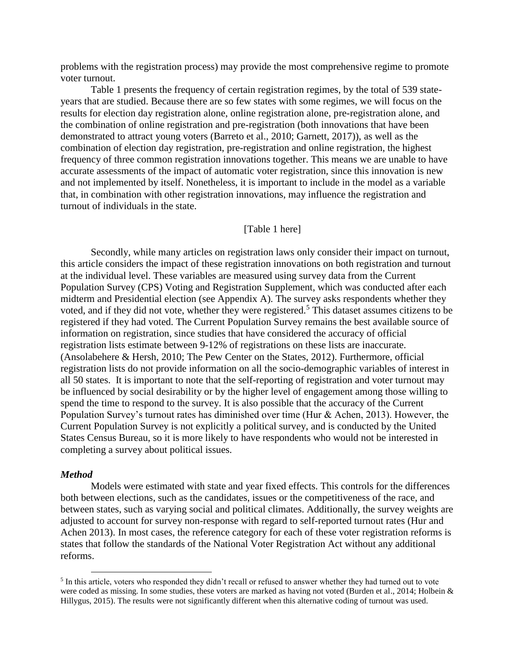problems with the registration process) may provide the most comprehensive regime to promote voter turnout.

Table 1 presents the frequency of certain registration regimes, by the total of 539 stateyears that are studied. Because there are so few states with some regimes, we will focus on the results for election day registration alone, online registration alone, pre-registration alone, and the combination of online registration and pre-registration (both innovations that have been demonstrated to attract young voters (Barreto et al., 2010; Garnett, 2017)), as well as the combination of election day registration, pre-registration and online registration, the highest frequency of three common registration innovations together. This means we are unable to have accurate assessments of the impact of automatic voter registration, since this innovation is new and not implemented by itself. Nonetheless, it is important to include in the model as a variable that, in combination with other registration innovations, may influence the registration and turnout of individuals in the state.

## [Table 1 here]

Secondly, while many articles on registration laws only consider their impact on turnout, this article considers the impact of these registration innovations on both registration and turnout at the individual level. These variables are measured using survey data from the Current Population Survey (CPS) Voting and Registration Supplement, which was conducted after each midterm and Presidential election (see Appendix A). The survey asks respondents whether they voted, and if they did not vote, whether they were registered.<sup>5</sup> This dataset assumes citizens to be registered if they had voted. The Current Population Survey remains the best available source of information on registration, since studies that have considered the accuracy of official registration lists estimate between 9-12% of registrations on these lists are inaccurate. (Ansolabehere & Hersh, 2010; The Pew Center on the States, 2012). Furthermore, official registration lists do not provide information on all the socio-demographic variables of interest in all 50 states. It is important to note that the self-reporting of registration and voter turnout may be influenced by social desirability or by the higher level of engagement among those willing to spend the time to respond to the survey. It is also possible that the accuracy of the Current Population Survey's turnout rates has diminished over time (Hur & Achen, 2013). However, the Current Population Survey is not explicitly a political survey, and is conducted by the United States Census Bureau, so it is more likely to have respondents who would not be interested in completing a survey about political issues.

#### *Method*

 $\overline{a}$ 

Models were estimated with state and year fixed effects. This controls for the differences both between elections, such as the candidates, issues or the competitiveness of the race, and between states, such as varying social and political climates. Additionally, the survey weights are adjusted to account for survey non-response with regard to self-reported turnout rates (Hur and Achen 2013). In most cases, the reference category for each of these voter registration reforms is states that follow the standards of the National Voter Registration Act without any additional reforms.

<sup>&</sup>lt;sup>5</sup> In this article, voters who responded they didn't recall or refused to answer whether they had turned out to vote were coded as missing. In some studies, these voters are marked as having not voted (Burden et al., 2014; Holbein & Hillygus, 2015). The results were not significantly different when this alternative coding of turnout was used.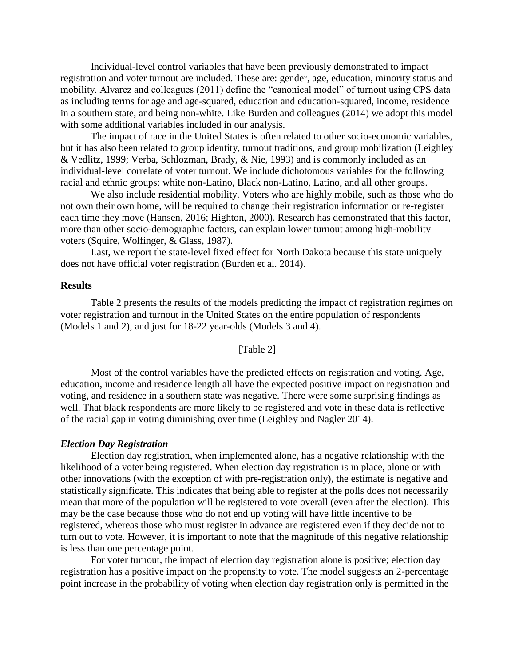Individual-level control variables that have been previously demonstrated to impact registration and voter turnout are included. These are: gender, age, education, minority status and mobility. Alvarez and colleagues (2011) define the "canonical model" of turnout using CPS data as including terms for age and age-squared, education and education-squared, income, residence in a southern state, and being non-white. Like Burden and colleagues (2014) we adopt this model with some additional variables included in our analysis.

The impact of race in the United States is often related to other socio-economic variables, but it has also been related to group identity, turnout traditions, and group mobilization (Leighley & Vedlitz, 1999; Verba, Schlozman, Brady, & Nie, 1993) and is commonly included as an individual-level correlate of voter turnout. We include dichotomous variables for the following racial and ethnic groups: white non-Latino, Black non-Latino, Latino, and all other groups.

We also include residential mobility. Voters who are highly mobile, such as those who do not own their own home, will be required to change their registration information or re-register each time they move (Hansen, 2016; Highton, 2000). Research has demonstrated that this factor, more than other socio-demographic factors, can explain lower turnout among high-mobility voters (Squire, Wolfinger, & Glass, 1987).

Last, we report the state-level fixed effect for North Dakota because this state uniquely does not have official voter registration (Burden et al. 2014).

#### **Results**

Table 2 presents the results of the models predicting the impact of registration regimes on voter registration and turnout in the United States on the entire population of respondents (Models 1 and 2), and just for 18-22 year-olds (Models 3 and 4).

#### [Table 2]

Most of the control variables have the predicted effects on registration and voting. Age, education, income and residence length all have the expected positive impact on registration and voting, and residence in a southern state was negative. There were some surprising findings as well. That black respondents are more likely to be registered and vote in these data is reflective of the racial gap in voting diminishing over time (Leighley and Nagler 2014).

#### *Election Day Registration*

Election day registration, when implemented alone, has a negative relationship with the likelihood of a voter being registered. When election day registration is in place, alone or with other innovations (with the exception of with pre-registration only), the estimate is negative and statistically significate. This indicates that being able to register at the polls does not necessarily mean that more of the population will be registered to vote overall (even after the election). This may be the case because those who do not end up voting will have little incentive to be registered, whereas those who must register in advance are registered even if they decide not to turn out to vote. However, it is important to note that the magnitude of this negative relationship is less than one percentage point.

For voter turnout, the impact of election day registration alone is positive; election day registration has a positive impact on the propensity to vote. The model suggests an 2-percentage point increase in the probability of voting when election day registration only is permitted in the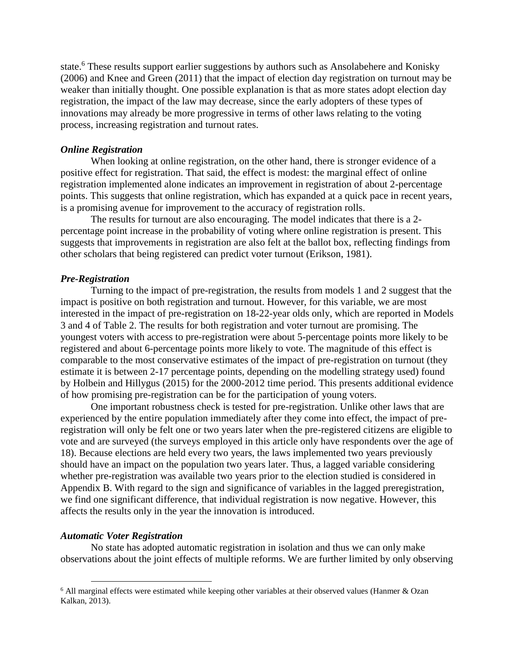state.<sup>6</sup> These results support earlier suggestions by authors such as Ansolabehere and Konisky (2006) and Knee and Green (2011) that the impact of election day registration on turnout may be weaker than initially thought. One possible explanation is that as more states adopt election day registration, the impact of the law may decrease, since the early adopters of these types of innovations may already be more progressive in terms of other laws relating to the voting process, increasing registration and turnout rates.

#### *Online Registration*

When looking at online registration, on the other hand, there is stronger evidence of a positive effect for registration. That said, the effect is modest: the marginal effect of online registration implemented alone indicates an improvement in registration of about 2-percentage points. This suggests that online registration, which has expanded at a quick pace in recent years, is a promising avenue for improvement to the accuracy of registration rolls.

The results for turnout are also encouraging. The model indicates that there is a 2 percentage point increase in the probability of voting where online registration is present. This suggests that improvements in registration are also felt at the ballot box, reflecting findings from other scholars that being registered can predict voter turnout (Erikson, 1981).

#### *Pre-Registration*

Turning to the impact of pre-registration, the results from models 1 and 2 suggest that the impact is positive on both registration and turnout. However, for this variable, we are most interested in the impact of pre-registration on 18-22-year olds only, which are reported in Models 3 and 4 of Table 2. The results for both registration and voter turnout are promising. The youngest voters with access to pre-registration were about 5-percentage points more likely to be registered and about 6-percentage points more likely to vote. The magnitude of this effect is comparable to the most conservative estimates of the impact of pre-registration on turnout (they estimate it is between 2-17 percentage points, depending on the modelling strategy used) found by Holbein and Hillygus (2015) for the 2000-2012 time period. This presents additional evidence of how promising pre-registration can be for the participation of young voters.

One important robustness check is tested for pre-registration. Unlike other laws that are experienced by the entire population immediately after they come into effect, the impact of preregistration will only be felt one or two years later when the pre-registered citizens are eligible to vote and are surveyed (the surveys employed in this article only have respondents over the age of 18). Because elections are held every two years, the laws implemented two years previously should have an impact on the population two years later. Thus, a lagged variable considering whether pre-registration was available two years prior to the election studied is considered in Appendix B. With regard to the sign and significance of variables in the lagged preregistration, we find one significant difference, that individual registration is now negative. However, this affects the results only in the year the innovation is introduced.

#### *Automatic Voter Registration*

 $\overline{a}$ 

No state has adopted automatic registration in isolation and thus we can only make observations about the joint effects of multiple reforms. We are further limited by only observing

<sup>&</sup>lt;sup>6</sup> All marginal effects were estimated while keeping other variables at their observed values (Hanmer & Ozan Kalkan, 2013).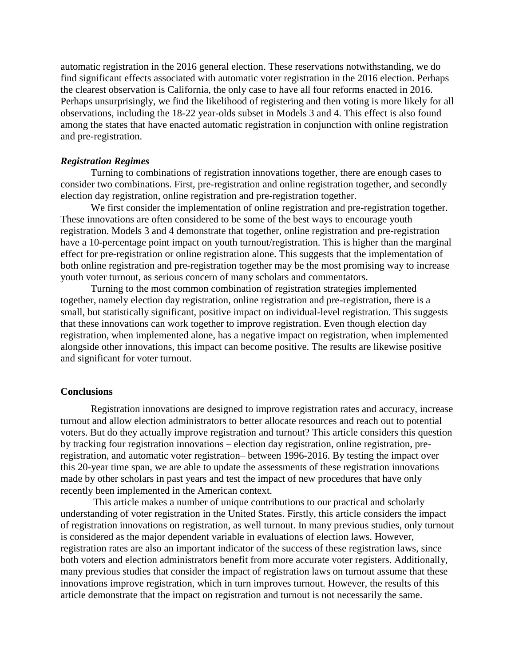automatic registration in the 2016 general election. These reservations notwithstanding, we do find significant effects associated with automatic voter registration in the 2016 election. Perhaps the clearest observation is California, the only case to have all four reforms enacted in 2016. Perhaps unsurprisingly, we find the likelihood of registering and then voting is more likely for all observations, including the 18-22 year-olds subset in Models 3 and 4. This effect is also found among the states that have enacted automatic registration in conjunction with online registration and pre-registration.

## *Registration Regimes*

Turning to combinations of registration innovations together, there are enough cases to consider two combinations. First, pre-registration and online registration together, and secondly election day registration, online registration and pre-registration together.

We first consider the implementation of online registration and pre-registration together. These innovations are often considered to be some of the best ways to encourage youth registration. Models 3 and 4 demonstrate that together, online registration and pre-registration have a 10-percentage point impact on youth turnout/registration. This is higher than the marginal effect for pre-registration or online registration alone. This suggests that the implementation of both online registration and pre-registration together may be the most promising way to increase youth voter turnout, as serious concern of many scholars and commentators.

Turning to the most common combination of registration strategies implemented together, namely election day registration, online registration and pre-registration, there is a small, but statistically significant, positive impact on individual-level registration. This suggests that these innovations can work together to improve registration. Even though election day registration, when implemented alone, has a negative impact on registration, when implemented alongside other innovations, this impact can become positive. The results are likewise positive and significant for voter turnout.

#### **Conclusions**

Registration innovations are designed to improve registration rates and accuracy, increase turnout and allow election administrators to better allocate resources and reach out to potential voters. But do they actually improve registration and turnout? This article considers this question by tracking four registration innovations – election day registration, online registration, preregistration, and automatic voter registration– between 1996-2016. By testing the impact over this 20-year time span, we are able to update the assessments of these registration innovations made by other scholars in past years and test the impact of new procedures that have only recently been implemented in the American context.

This article makes a number of unique contributions to our practical and scholarly understanding of voter registration in the United States. Firstly, this article considers the impact of registration innovations on registration, as well turnout. In many previous studies, only turnout is considered as the major dependent variable in evaluations of election laws. However, registration rates are also an important indicator of the success of these registration laws, since both voters and election administrators benefit from more accurate voter registers. Additionally, many previous studies that consider the impact of registration laws on turnout assume that these innovations improve registration, which in turn improves turnout. However, the results of this article demonstrate that the impact on registration and turnout is not necessarily the same.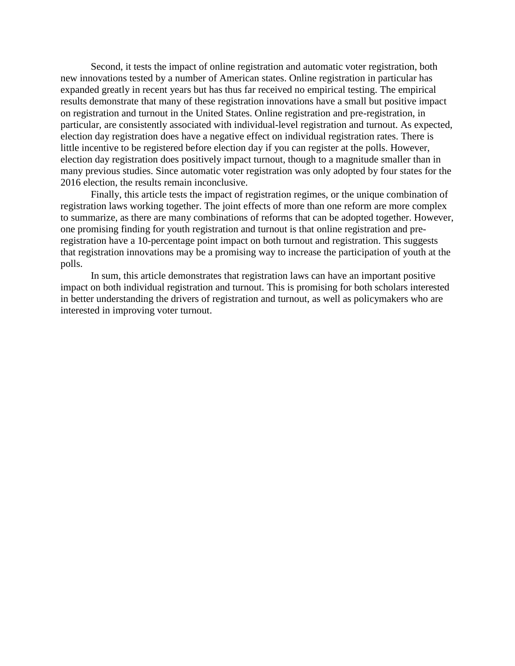Second, it tests the impact of online registration and automatic voter registration, both new innovations tested by a number of American states. Online registration in particular has expanded greatly in recent years but has thus far received no empirical testing. The empirical results demonstrate that many of these registration innovations have a small but positive impact on registration and turnout in the United States. Online registration and pre-registration, in particular, are consistently associated with individual-level registration and turnout. As expected, election day registration does have a negative effect on individual registration rates. There is little incentive to be registered before election day if you can register at the polls. However, election day registration does positively impact turnout, though to a magnitude smaller than in many previous studies. Since automatic voter registration was only adopted by four states for the 2016 election, the results remain inconclusive.

Finally, this article tests the impact of registration regimes, or the unique combination of registration laws working together. The joint effects of more than one reform are more complex to summarize, as there are many combinations of reforms that can be adopted together. However, one promising finding for youth registration and turnout is that online registration and preregistration have a 10-percentage point impact on both turnout and registration. This suggests that registration innovations may be a promising way to increase the participation of youth at the polls.

In sum, this article demonstrates that registration laws can have an important positive impact on both individual registration and turnout. This is promising for both scholars interested in better understanding the drivers of registration and turnout, as well as policymakers who are interested in improving voter turnout.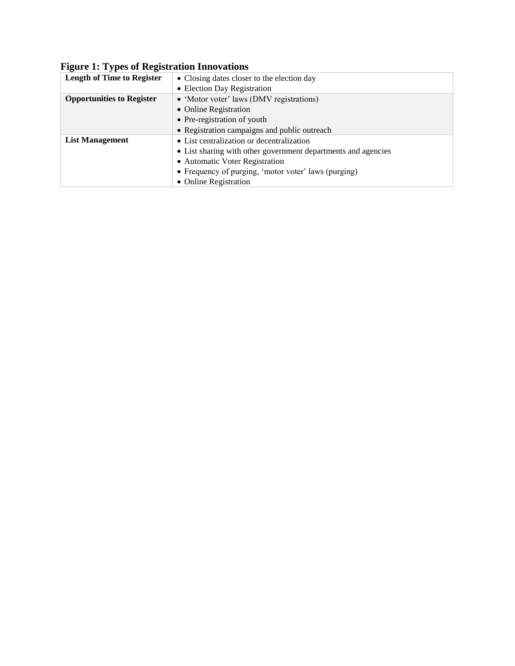# **Figure 1: Types of Registration Innovations**

| <b>Length of Time to Register</b> | • Closing dates closer to the election day                    |  |
|-----------------------------------|---------------------------------------------------------------|--|
|                                   | • Election Day Registration                                   |  |
| <b>Opportunities to Register</b>  | • 'Motor voter' laws (DMV registrations)                      |  |
|                                   | • Online Registration                                         |  |
|                                   | • Pre-registration of youth                                   |  |
|                                   | • Registration campaigns and public outreach                  |  |
| <b>List Management</b>            | • List centralization or decentralization                     |  |
|                                   | • List sharing with other government departments and agencies |  |
|                                   | • Automatic Voter Registration                                |  |
|                                   | • Frequency of purging, 'motor voter' laws (purging)          |  |
|                                   | • Online Registration                                         |  |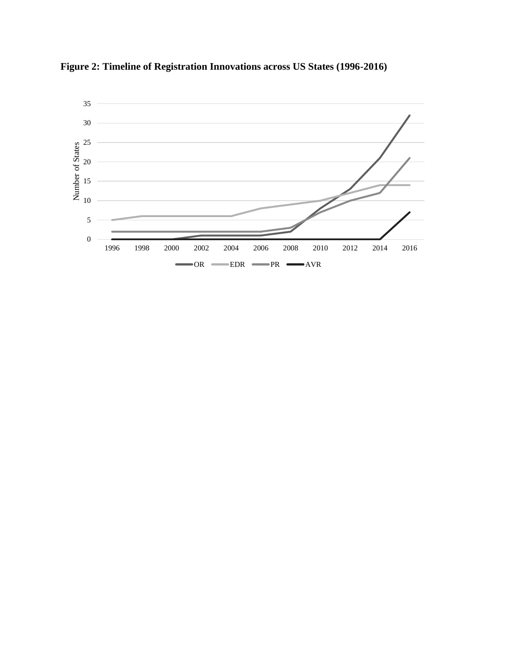

**Figure 2: Timeline of Registration Innovations across US States (1996-2016)**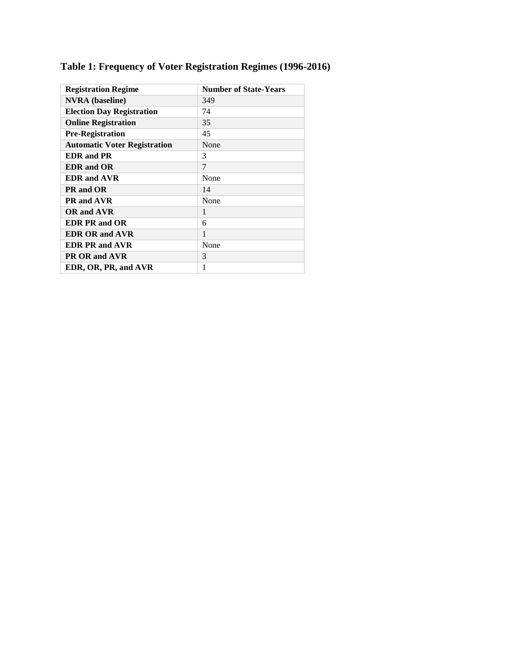| <b>Registration Regime</b>          | <b>Number of State-Years</b> |
|-------------------------------------|------------------------------|
| <b>NVRA</b> (baseline)              | 349                          |
| <b>Election Day Registration</b>    | 74                           |
| <b>Online Registration</b>          | 35                           |
| <b>Pre-Registration</b>             | 45                           |
| <b>Automatic Voter Registration</b> | None                         |
| <b>EDR</b> and PR                   | 3                            |
| <b>EDR</b> and OR                   | 7                            |
| <b>EDR</b> and AVR                  | None                         |
| PR and OR                           | 14                           |
| PR and AVR                          | None                         |
| <b>OR</b> and AVR                   | 1                            |
| <b>EDR PR and OR</b>                | 6                            |
| <b>EDR OR and AVR</b>               | 1                            |
| <b>EDR PR and AVR</b>               | None                         |
| PR OR and AVR                       | 3                            |
| EDR, OR, PR, and AVR                | 1                            |

# **Table 1: Frequency of Voter Registration Regimes (1996-2016)**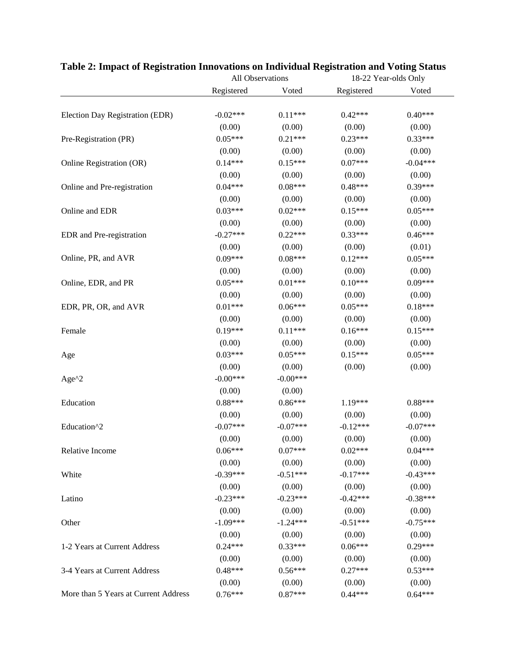|                                      | All Observations     |                     | 18-22 Year-olds Only |                     |
|--------------------------------------|----------------------|---------------------|----------------------|---------------------|
|                                      | Registered           | Voted               | Registered           | Voted               |
| Election Day Registration (EDR)      | $-0.02***$           | $0.11***$           | $0.42***$            | $0.40***$           |
|                                      | (0.00)               | (0.00)              | (0.00)               | (0.00)              |
| Pre-Registration (PR)                | $0.05***$            | $0.21***$           | $0.23***$            | $0.33***$           |
|                                      | (0.00)               | (0.00)              | (0.00)               | (0.00)              |
| Online Registration (OR)             | $0.14***$            | $0.15***$           | $0.07***$            | $-0.04***$          |
|                                      | (0.00)               | (0.00)              | (0.00)               | (0.00)              |
| Online and Pre-registration          | $0.04***$            | $0.08***$           | $0.48***$            | $0.39***$           |
|                                      | (0.00)               | (0.00)              | (0.00)               | (0.00)              |
|                                      | $0.03***$            | $0.02***$           | $0.15***$            | $0.05***$           |
| Online and EDR                       |                      |                     |                      |                     |
|                                      | (0.00)<br>$-0.27***$ | (0.00)<br>$0.22***$ | (0.00)<br>$0.33***$  | (0.00)<br>$0.46***$ |
| EDR and Pre-registration             |                      |                     |                      |                     |
| Online, PR, and AVR                  | (0.00)               | (0.00)              | (0.00)               | (0.01)<br>$0.05***$ |
|                                      | $0.09***$            | $0.08***$           | $0.12***$            |                     |
|                                      | (0.00)               | (0.00)              | (0.00)               | (0.00)              |
| Online, EDR, and PR                  | $0.05***$            | $0.01***$           | $0.10***$            | $0.09***$           |
|                                      | (0.00)               | (0.00)              | (0.00)               | (0.00)              |
| EDR, PR, OR, and AVR                 | $0.01***$            | $0.06***$           | $0.05***$            | $0.18***$           |
|                                      | (0.00)               | (0.00)              | (0.00)               | (0.00)              |
| Female                               | $0.19***$            | $0.11***$           | $0.16***$            | $0.15***$           |
|                                      | (0.00)               | (0.00)              | (0.00)               | (0.00)              |
| Age                                  | $0.03***$            | $0.05***$           | $0.15***$            | $0.05***$           |
|                                      | (0.00)               | (0.00)              | (0.00)               | (0.00)              |
| Age $^{\wedge}2$                     | $-0.00***$           | $-0.00***$          |                      |                     |
|                                      | (0.00)               | (0.00)              |                      |                     |
| Education                            | $0.88***$            | $0.86***$           | 1.19***              | $0.88***$           |
|                                      | (0.00)               | (0.00)              | (0.00)               | (0.00)              |
| Education^2                          | $-0.07***$           | $-0.07***$          | $-0.12***$           | $-0.07***$          |
|                                      | (0.00)               | (0.00)              | (0.00)               | (0.00)              |
| Relative Income                      | $0.06***$            | $0.07***$           | $0.02***$            | $0.04***$           |
|                                      | (0.00)               | (0.00)              | (0.00)               | (0.00)              |
| White                                | $-0.39***$           | $-0.51***$          | $-0.17***$           | $-0.43***$          |
|                                      | (0.00)               | (0.00)              | (0.00)               | (0.00)              |
| Latino                               | $-0.23***$           | $-0.23***$          | $-0.42***$           | $-0.38***$          |
|                                      | (0.00)               | (0.00)              | (0.00)               | (0.00)              |
| Other                                | $-1.09***$           | $-1.24***$          | $-0.51***$           | $-0.75***$          |
|                                      | (0.00)               | (0.00)              | (0.00)               | (0.00)              |
| 1-2 Years at Current Address         | $0.24***$            | $0.33***$           | $0.06***$            | $0.29***$           |
|                                      | (0.00)               | (0.00)              | (0.00)               | (0.00)              |
| 3-4 Years at Current Address         | $0.48***$            | $0.56***$           | $0.27***$            | $0.53***$           |
|                                      | (0.00)               | (0.00)              | (0.00)               | (0.00)              |
| More than 5 Years at Current Address | $0.76***$            | $0.87***$           | $0.44***$            | $0.64***$           |
|                                      |                      |                     |                      |                     |

## **Table 2: Impact of Registration Innovations on Individual Registration and Voting Status**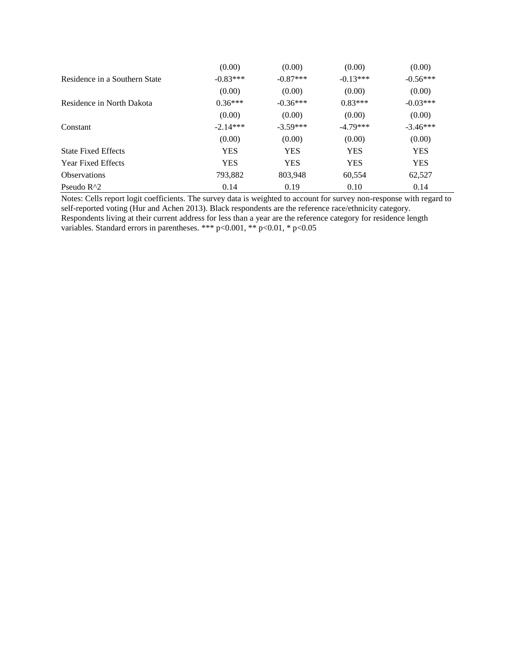|                               | (0.00)     | (0.00)     | (0.00)     | (0.00)     |
|-------------------------------|------------|------------|------------|------------|
| Residence in a Southern State | $-0.83***$ | $-0.87***$ | $-0.13***$ | $-0.56***$ |
|                               | (0.00)     | (0.00)     | (0.00)     | (0.00)     |
| Residence in North Dakota     | $0.36***$  | $-0.36***$ | $0.83***$  | $-0.03***$ |
|                               | (0.00)     | (0.00)     | (0.00)     | (0.00)     |
| Constant                      | $-2.14***$ | $-3.59***$ | $-4.79***$ | $-3.46***$ |
|                               | (0.00)     | (0.00)     | (0.00)     | (0.00)     |
| <b>State Fixed Effects</b>    | <b>YES</b> | <b>YES</b> | <b>YES</b> | <b>YES</b> |
| <b>Year Fixed Effects</b>     | <b>YES</b> | <b>YES</b> | <b>YES</b> | <b>YES</b> |
| <b>Observations</b>           | 793,882    | 803,948    | 60,554     | 62,527     |
| Pseudo $R^2$                  | 0.14       | 0.19       | 0.10       | 0.14       |

Notes: Cells report logit coefficients. The survey data is weighted to account for survey non-response with regard to self-reported voting (Hur and Achen 2013). Black respondents are the reference race/ethnicity category. Respondents living at their current address for less than a year are the reference category for residence length variables. Standard errors in parentheses. \*\*\* p<0.001, \*\* p<0.01, \* p<0.05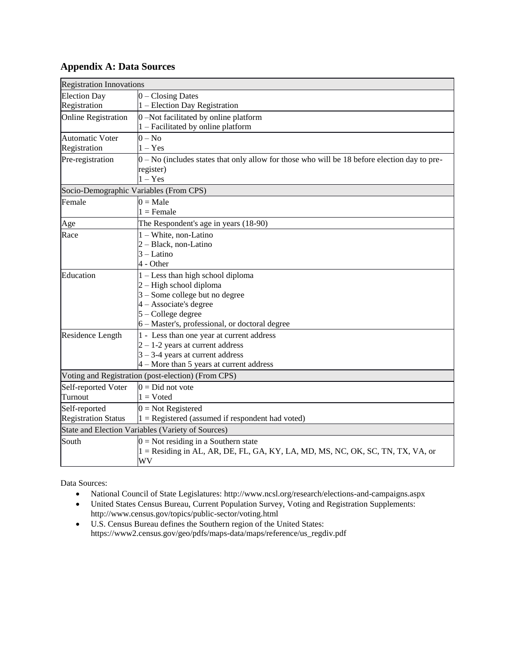## **Appendix A: Data Sources**

| <b>Registration Innovations</b>                   |                                                                                                |  |
|---------------------------------------------------|------------------------------------------------------------------------------------------------|--|
| <b>Election Day</b>                               | $0$ – Closing Dates                                                                            |  |
| Registration                                      | 1 – Election Day Registration                                                                  |  |
| <b>Online Registration</b>                        | 0-Not facilitated by online platform                                                           |  |
|                                                   | $1 - Facilitated by online platform$                                                           |  |
| Automatic Voter                                   | $0 - No$                                                                                       |  |
| Registration                                      | $1 - Yes$                                                                                      |  |
| Pre-registration                                  | $0$ – No (includes states that only allow for those who will be 18 before election day to pre- |  |
|                                                   | register)                                                                                      |  |
|                                                   | $1 - Yes$                                                                                      |  |
| Socio-Demographic Variables (From CPS)            |                                                                                                |  |
| Female                                            | $0 = Male$                                                                                     |  |
|                                                   | $1 =$ Female                                                                                   |  |
| Age                                               | The Respondent's age in years (18-90)                                                          |  |
| Race                                              | $1 - White$ , non-Latino                                                                       |  |
|                                                   | 2 - Black, non-Latino                                                                          |  |
|                                                   | $3 - Latino$                                                                                   |  |
|                                                   | 4 - Other                                                                                      |  |
| Education                                         | $1 -$ Less than high school diploma                                                            |  |
|                                                   | $2 - High school diploma$<br>3 - Some college but no degree                                    |  |
|                                                   | 4 - Associate's degree                                                                         |  |
|                                                   | $5 - College$ degree                                                                           |  |
|                                                   | 6 - Master's, professional, or doctoral degree                                                 |  |
| Residence Length                                  | 1 - Less than one year at current address                                                      |  |
|                                                   | $2 - 1 - 2$ years at current address                                                           |  |
|                                                   | $3 - 3 - 4$ years at current address                                                           |  |
|                                                   | $4 -$ More than 5 years at current address                                                     |  |
|                                                   | Voting and Registration (post-election) (From CPS)                                             |  |
| Self-reported Voter                               | $0 = Did$ not vote                                                                             |  |
| Turnout                                           | $1 = V$ oted                                                                                   |  |
| Self-reported                                     | $0 = Not$ Registered                                                                           |  |
| <b>Registration Status</b>                        | $1 =$ Registered (assumed if respondent had voted)                                             |  |
| State and Election Variables (Variety of Sources) |                                                                                                |  |
| South                                             | $0 = Not$ residing in a Southern state                                                         |  |
|                                                   | 1 = Residing in AL, AR, DE, FL, GA, KY, LA, MD, MS, NC, OK, SC, TN, TX, VA, or                 |  |
|                                                   | WV                                                                                             |  |

Data Sources:

- National Council of State Legislatures:<http://www.ncsl.org/research/elections-and-campaigns.aspx>
- United States Census Bureau, Current Population Survey, Voting and Registration Supplements: <http://www.census.gov/topics/public-sector/voting.html>
- U.S. Census Bureau defines the Southern region of the United States: [https://www2.census.gov/geo/pdfs/maps-data/maps/reference/us\\_regdiv.pdf](https://www2.census.gov/geo/pdfs/maps-data/maps/reference/us_regdiv.pdf)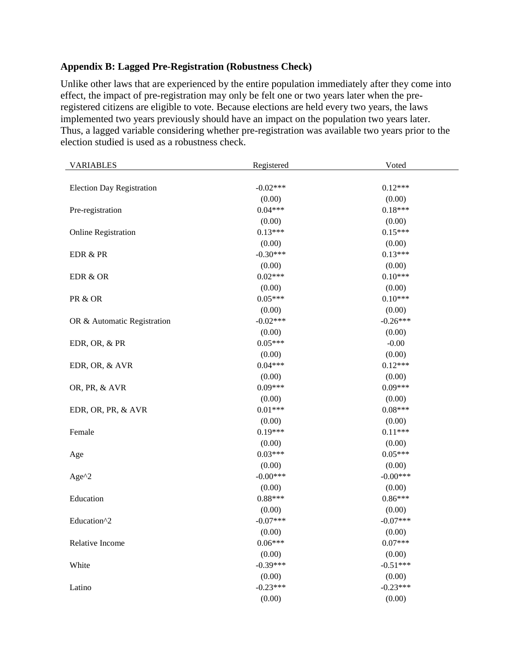## **Appendix B: Lagged Pre-Registration (Robustness Check)**

Unlike other laws that are experienced by the entire population immediately after they come into effect, the impact of pre-registration may only be felt one or two years later when the preregistered citizens are eligible to vote. Because elections are held every two years, the laws implemented two years previously should have an impact on the population two years later. Thus, a lagged variable considering whether pre-registration was available two years prior to the election studied is used as a robustness check.

| <b>VARIABLES</b>                 | Registered | Voted      |
|----------------------------------|------------|------------|
|                                  |            |            |
| <b>Election Day Registration</b> | $-0.02***$ | $0.12***$  |
|                                  | (0.00)     | (0.00)     |
| Pre-registration                 | $0.04***$  | $0.18***$  |
|                                  | (0.00)     | (0.00)     |
| <b>Online Registration</b>       | $0.13***$  | $0.15***$  |
|                                  | (0.00)     | (0.00)     |
| EDR & PR                         | $-0.30***$ | $0.13***$  |
|                                  | (0.00)     | (0.00)     |
| EDR & OR                         | $0.02***$  | $0.10***$  |
|                                  | (0.00)     | (0.00)     |
| PR & OR                          | $0.05***$  | $0.10***$  |
|                                  | (0.00)     | (0.00)     |
| OR & Automatic Registration      | $-0.02***$ | $-0.26***$ |
|                                  | (0.00)     | (0.00)     |
| EDR, OR, & PR                    | $0.05***$  | $-0.00$    |
|                                  | (0.00)     | (0.00)     |
| EDR, OR, & AVR                   | $0.04***$  | $0.12***$  |
|                                  | (0.00)     | (0.00)     |
| OR, PR, & AVR                    | $0.09***$  | $0.09***$  |
|                                  | (0.00)     | (0.00)     |
| EDR, OR, PR, & AVR               | $0.01***$  | $0.08***$  |
|                                  | (0.00)     | (0.00)     |
| Female                           | $0.19***$  | $0.11***$  |
|                                  | (0.00)     | (0.00)     |
| Age                              | $0.03***$  | $0.05***$  |
|                                  | (0.00)     | (0.00)     |
| Age $^{\wedge}2$                 | $-0.00***$ | $-0.00***$ |
|                                  | (0.00)     | (0.00)     |
| Education                        | $0.88***$  | $0.86***$  |
|                                  | (0.00)     | (0.00)     |
| Education^2                      | $-0.07***$ | $-0.07***$ |
|                                  | (0.00)     | (0.00)     |
| Relative Income                  | $0.06***$  | $0.07***$  |
|                                  | (0.00)     | (0.00)     |
| White                            | $-0.39***$ | $-0.51***$ |
|                                  | (0.00)     | (0.00)     |
| Latino                           | $-0.23***$ | $-0.23***$ |
|                                  | (0.00)     | (0.00)     |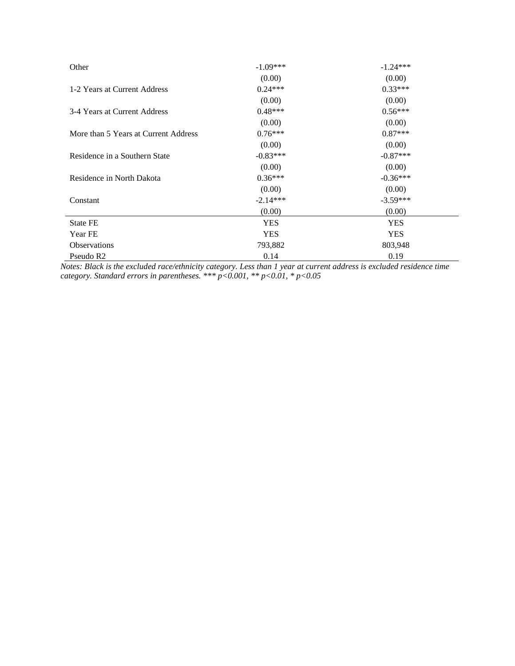| Other                                | $-1.09***$ | $-1.24***$ |
|--------------------------------------|------------|------------|
|                                      | (0.00)     | (0.00)     |
| 1-2 Years at Current Address         | $0.24***$  | $0.33***$  |
|                                      | (0.00)     | (0.00)     |
| 3-4 Years at Current Address         | $0.48***$  | $0.56***$  |
|                                      | (0.00)     | (0.00)     |
| More than 5 Years at Current Address | $0.76***$  | $0.87***$  |
|                                      | (0.00)     | (0.00)     |
| Residence in a Southern State        | $-0.83***$ | $-0.87***$ |
|                                      | (0.00)     | (0.00)     |
| Residence in North Dakota            | $0.36***$  | $-0.36***$ |
|                                      | (0.00)     | (0.00)     |
| Constant                             | $-2.14***$ | $-3.59***$ |
|                                      | (0.00)     | (0.00)     |
| <b>State FE</b>                      | <b>YES</b> | <b>YES</b> |
| Year FE                              | <b>YES</b> | <b>YES</b> |
| <b>Observations</b>                  | 793,882    | 803,948    |
| Pseudo R <sub>2</sub>                | 0.14       | 0.19       |

*Notes: Black is the excluded race/ethnicity category. Less than 1 year at current address is excluded residence time category. Standard errors in parentheses. \*\*\* p<0.001, \*\* p<0.01, \* p<0.05*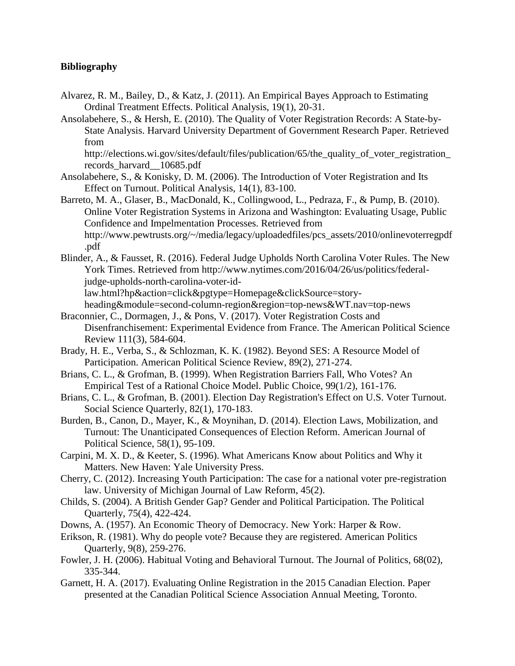## **Bibliography**

- Alvarez, R. M., Bailey, D., & Katz, J. (2011). An Empirical Bayes Approach to Estimating Ordinal Treatment Effects. Political Analysis, 19(1), 20-31.
- Ansolabehere, S., & Hersh, E. (2010). The Quality of Voter Registration Records: A State-by-State Analysis. Harvard University Department of Government Research Paper. Retrieved from

http://elections.wi.gov/sites/default/files/publication/65/the quality of voter registration records\_harvard\_\_10685.pdf

- Ansolabehere, S., & Konisky, D. M. (2006). The Introduction of Voter Registration and Its Effect on Turnout. Political Analysis, 14(1), 83-100.
- Barreto, M. A., Glaser, B., MacDonald, K., Collingwood, L., Pedraza, F., & Pump, B. (2010). Online Voter Registration Systems in Arizona and Washington: Evaluating Usage, Public Confidence and Impelmentation Processes. Retrieved from [http://www.pewtrusts.org/~/media/legacy/uploadedfiles/pcs\\_assets/2010/onlinevoterregpdf](http://www.pewtrusts.org/~/media/legacy/uploadedfiles/pcs_assets/2010/onlinevoterregpdf.pdf) [.pdf](http://www.pewtrusts.org/~/media/legacy/uploadedfiles/pcs_assets/2010/onlinevoterregpdf.pdf)
- Blinder, A., & Fausset, R. (2016). Federal Judge Upholds North Carolina Voter Rules. The New York Times. Retrieved from [http://www.nytimes.com/2016/04/26/us/politics/federal](http://www.nytimes.com/2016/04/26/us/politics/federal-judge-upholds-north-carolina-voter-id-law.html?hp&action=click&pgtype=Homepage&clickSource=story-heading&module=second-column-region®ion=top-news&WT.nav=top-news)[judge-upholds-north-carolina-voter-id-](http://www.nytimes.com/2016/04/26/us/politics/federal-judge-upholds-north-carolina-voter-id-law.html?hp&action=click&pgtype=Homepage&clickSource=story-heading&module=second-column-region®ion=top-news&WT.nav=top-news)

[law.html?hp&action=click&pgtype=Homepage&clickSource=story-](http://www.nytimes.com/2016/04/26/us/politics/federal-judge-upholds-north-carolina-voter-id-law.html?hp&action=click&pgtype=Homepage&clickSource=story-heading&module=second-column-region®ion=top-news&WT.nav=top-news)

- [heading&module=second-column-region&region=top-news&WT.nav=top-news](http://www.nytimes.com/2016/04/26/us/politics/federal-judge-upholds-north-carolina-voter-id-law.html?hp&action=click&pgtype=Homepage&clickSource=story-heading&module=second-column-region®ion=top-news&WT.nav=top-news) Braconnier, C., Dormagen, J., & Pons, V. (2017). Voter Registration Costs and Disenfranchisement: Experimental Evidence from France. The American Political Science Review 111(3), 584-604.
- Brady, H. E., Verba, S., & Schlozman, K. K. (1982). Beyond SES: A Resource Model of Participation. American Political Science Review, 89(2), 271-274.
- Brians, C. L., & Grofman, B. (1999). When Registration Barriers Fall, Who Votes? An Empirical Test of a Rational Choice Model. Public Choice, 99(1/2), 161-176.
- Brians, C. L., & Grofman, B. (2001). Election Day Registration's Effect on U.S. Voter Turnout. Social Science Quarterly, 82(1), 170-183.
- Burden, B., Canon, D., Mayer, K., & Moynihan, D. (2014). Election Laws, Mobilization, and Turnout: The Unanticipated Consequences of Election Reform. American Journal of Political Science, 58(1), 95-109.
- Carpini, M. X. D., & Keeter, S. (1996). What Americans Know about Politics and Why it Matters. New Haven: Yale University Press.
- Cherry, C. (2012). Increasing Youth Participation: The case for a national voter pre-registration law. University of Michigan Journal of Law Reform, 45(2).
- Childs, S. (2004). A British Gender Gap? Gender and Political Participation. The Political Quarterly, 75(4), 422-424.
- Downs, A. (1957). An Economic Theory of Democracy. New York: Harper & Row.
- Erikson, R. (1981). Why do people vote? Because they are registered. American Politics Quarterly, 9(8), 259-276.
- Fowler, J. H. (2006). Habitual Voting and Behavioral Turnout. The Journal of Politics, 68(02), 335-344.
- Garnett, H. A. (2017). Evaluating Online Registration in the 2015 Canadian Election. Paper presented at the Canadian Political Science Association Annual Meeting, Toronto.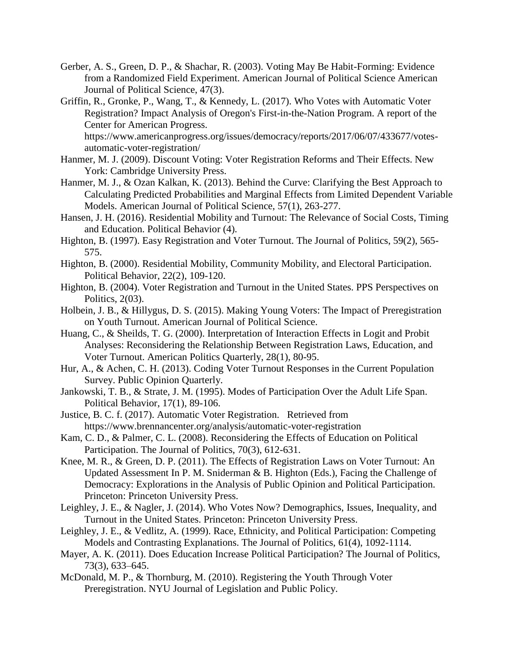- Gerber, A. S., Green, D. P., & Shachar, R. (2003). Voting May Be Habit-Forming: Evidence from a Randomized Field Experiment. American Journal of Political Science American Journal of Political Science, 47(3).
- Griffin, R., Gronke, P., Wang, T., & Kennedy, L. (2017). Who Votes with Automatic Voter Registration? Impact Analysis of Oregon's First-in-the-Nation Program. A report of the Center for American Progress.

[https://www.americanprogress.org/issues/democracy/reports/2017/06/07/433677/votes](https://www.americanprogress.org/issues/democracy/reports/2017/06/07/433677/votes-automatic-voter-registration/)[automatic-voter-registration/](https://www.americanprogress.org/issues/democracy/reports/2017/06/07/433677/votes-automatic-voter-registration/)

- Hanmer, M. J. (2009). Discount Voting: Voter Registration Reforms and Their Effects. New York: Cambridge University Press.
- Hanmer, M. J., & Ozan Kalkan, K. (2013). Behind the Curve: Clarifying the Best Approach to Calculating Predicted Probabilities and Marginal Effects from Limited Dependent Variable Models. American Journal of Political Science, 57(1), 263-277.
- Hansen, J. H. (2016). Residential Mobility and Turnout: The Relevance of Social Costs, Timing and Education. Political Behavior (4).
- Highton, B. (1997). Easy Registration and Voter Turnout. The Journal of Politics, 59(2), 565-575.
- Highton, B. (2000). Residential Mobility, Community Mobility, and Electoral Participation. Political Behavior, 22(2), 109-120.
- Highton, B. (2004). Voter Registration and Turnout in the United States. PPS Perspectives on Politics, 2(03).
- Holbein, J. B., & Hillygus, D. S. (2015). Making Young Voters: The Impact of Preregistration on Youth Turnout. American Journal of Political Science.
- Huang, C., & Sheilds, T. G. (2000). Interpretation of Interaction Effects in Logit and Probit Analyses: Reconsidering the Relationship Between Registration Laws, Education, and Voter Turnout. American Politics Quarterly, 28(1), 80-95.
- Hur, A., & Achen, C. H. (2013). Coding Voter Turnout Responses in the Current Population Survey. Public Opinion Quarterly.
- Jankowski, T. B., & Strate, J. M. (1995). Modes of Participation Over the Adult Life Span. Political Behavior, 17(1), 89-106.
- Justice, B. C. f. (2017). Automatic Voter Registration. Retrieved from <https://www.brennancenter.org/analysis/automatic-voter-registration>
- Kam, C. D., & Palmer, C. L. (2008). Reconsidering the Effects of Education on Political Participation. The Journal of Politics, 70(3), 612-631.
- Knee, M. R., & Green, D. P. (2011). The Effects of Registration Laws on Voter Turnout: An Updated Assessment In P. M. Sniderman & B. Highton (Eds.), Facing the Challenge of Democracy: Explorations in the Analysis of Public Opinion and Political Participation. Princeton: Princeton University Press.
- Leighley, J. E., & Nagler, J. (2014). Who Votes Now? Demographics, Issues, Inequality, and Turnout in the United States. Princeton: Princeton University Press.
- Leighley, J. E., & Vedlitz, A. (1999). Race, Ethnicity, and Political Participation: Competing Models and Contrasting Explanations. The Journal of Politics, 61(4), 1092-1114.
- Mayer, A. K. (2011). Does Education Increase Political Participation? The Journal of Politics, 73(3), 633–645.
- McDonald, M. P., & Thornburg, M. (2010). Registering the Youth Through Voter Preregistration. NYU Journal of Legislation and Public Policy.